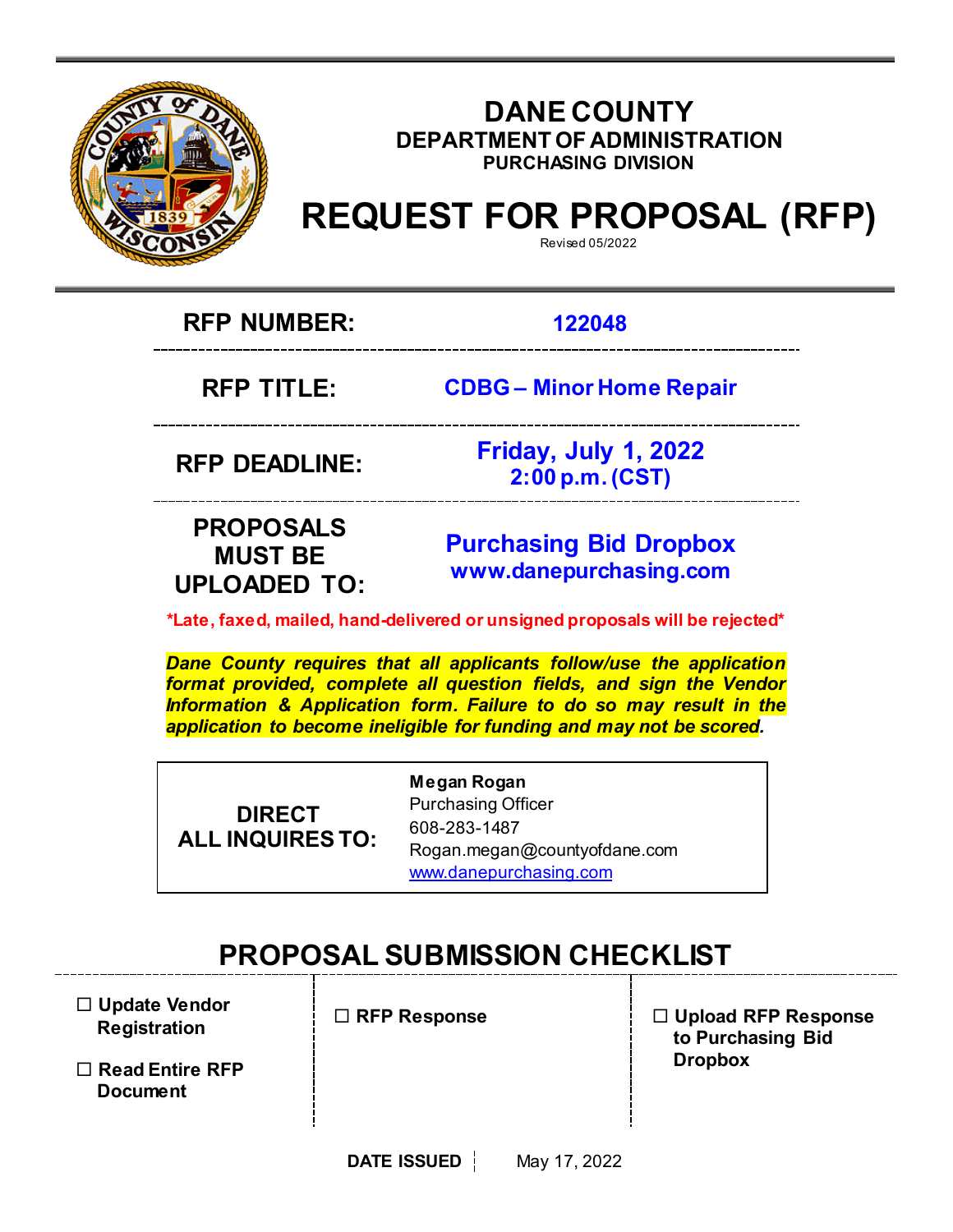

# **DANE COUNTY DEPARTMENT OF ADMINISTRATION PURCHASING DIVISION**

# **REQUEST FOR PROPOSAL (RFP)**

Revised 05/2022

**RFP NUMBER: 122048**

**RFP TITLE: CDBG – Minor Home Repair**

**RFP DEADLINE: Friday, July 1, 2022 2:00 p.m. (CST)**

# **PROPOSALS MUST BE UPLOADED TO:**

**[Purchasing](mailto:BIDS@COUNTYOFDANE.COM) Bid Dropbox [www.danepurchasing.com](file://daneco.us/dfs/Department/purchasing/Shared/Forms%20&%20Templates/www.danepurchasing.com)**

**\*Late, faxed, mailed, hand-delivered or unsigned proposals will be rejected\***

*Dane County requires that all applicants follow/use the application format provided, complete all question fields, and sign the Vendor Information & Application form. Failure to do so may result in the application to become ineligible for funding and may not be scored.*

**DIRECT ALL INQUIRES TO:** **Megan Rogan** Purchasing Officer 608-283-1487 Rogan.megan@countyofdane.com [www.danepurchasing.com](http://www.danepurchasing.com/)

# **PROPOSAL SUBMISSION CHECKLIST**

 **Update Vendor Registration**

 **Read Entire RFP Document**

**RFP Response**

 **Upload RFP Response to Purchasing Bid Dropbox**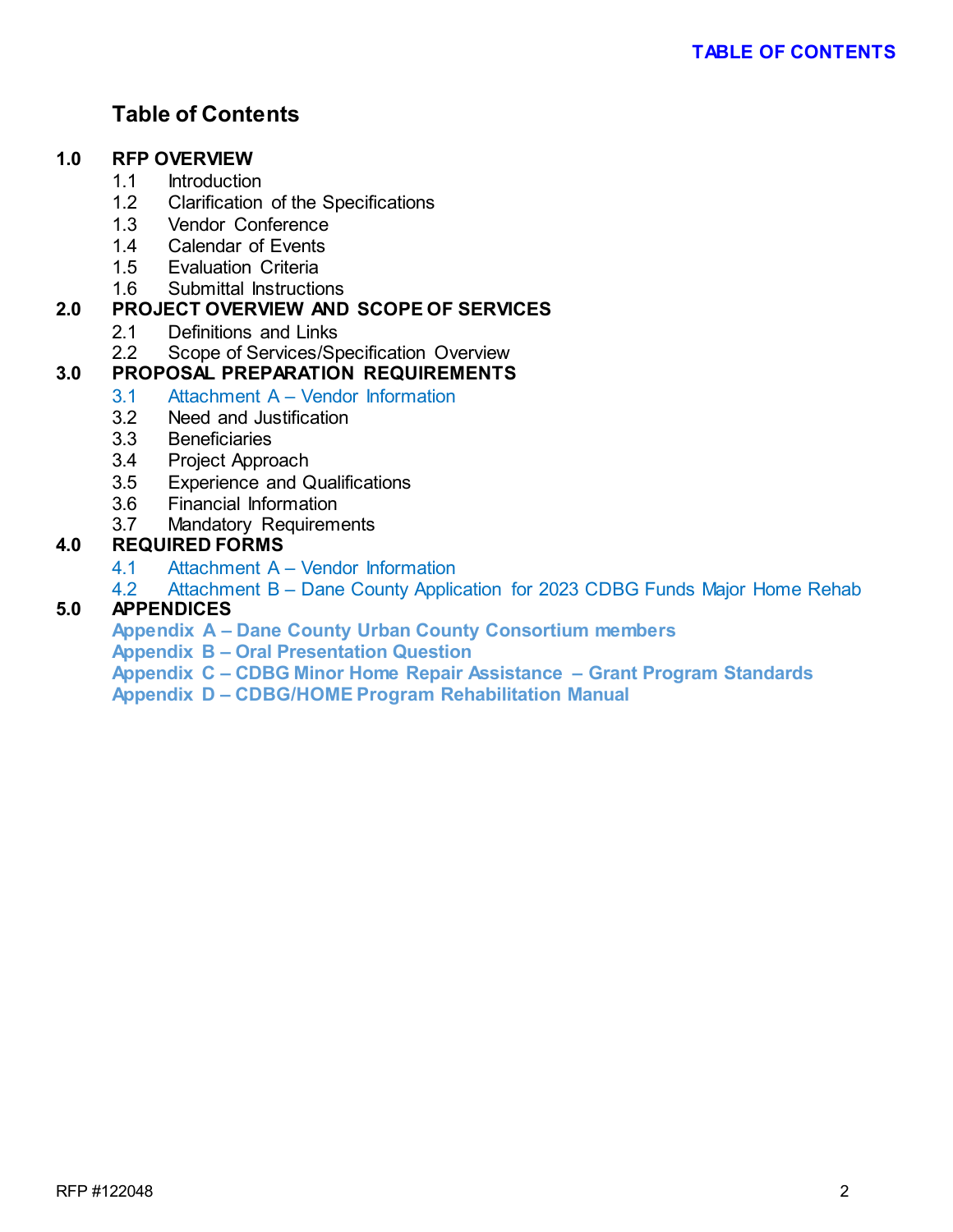# **Table of Contents**

# **1.0 RFP OVERVIEW**

- 1.1 Introduction
- 1.2 Clarification of the Specifications
- 1.3 Vendor Conference
- 1.4 Calendar of Events
- 1.5 Evaluation Criteria
- 1.6 Submittal Instructions

# **2.0 PROJECT OVERVIEW AND SCOPE OF SERVICES**

- 2.1 Definitions and Links<br>2.2 Scope of Services/Sp
- Scope of Services/Specification Overview

# **3.0 PROPOSAL PREPARATION REQUIREMENTS**

- 3.1 Attachment A Vendor Information
- 3.2 Need and Justification
- 3.3 Beneficiaries
- 3.4 Project Approach
- 3.5 Experience and Qualifications
- 3.6 Financial Information<br>3.7 Mandatory Requirem
- Mandatory Requirements

# **4.0 REQUIRED FORMS**

- 4.1 Attachment A Vendor Information
- 4.2 Attachment B Dane County Application for 2023 CDBG Funds Major Home Rehab

# **5.0 APPENDICES**

**Appendix A – Dane County Urban County Consortium members**

**Appendix B – Oral Presentation Question** 

**Appendix C – CDBG Minor Home Repair Assistance – Grant Program Standards** 

**Appendix D – CDBG/HOME Program Rehabilitation Manual**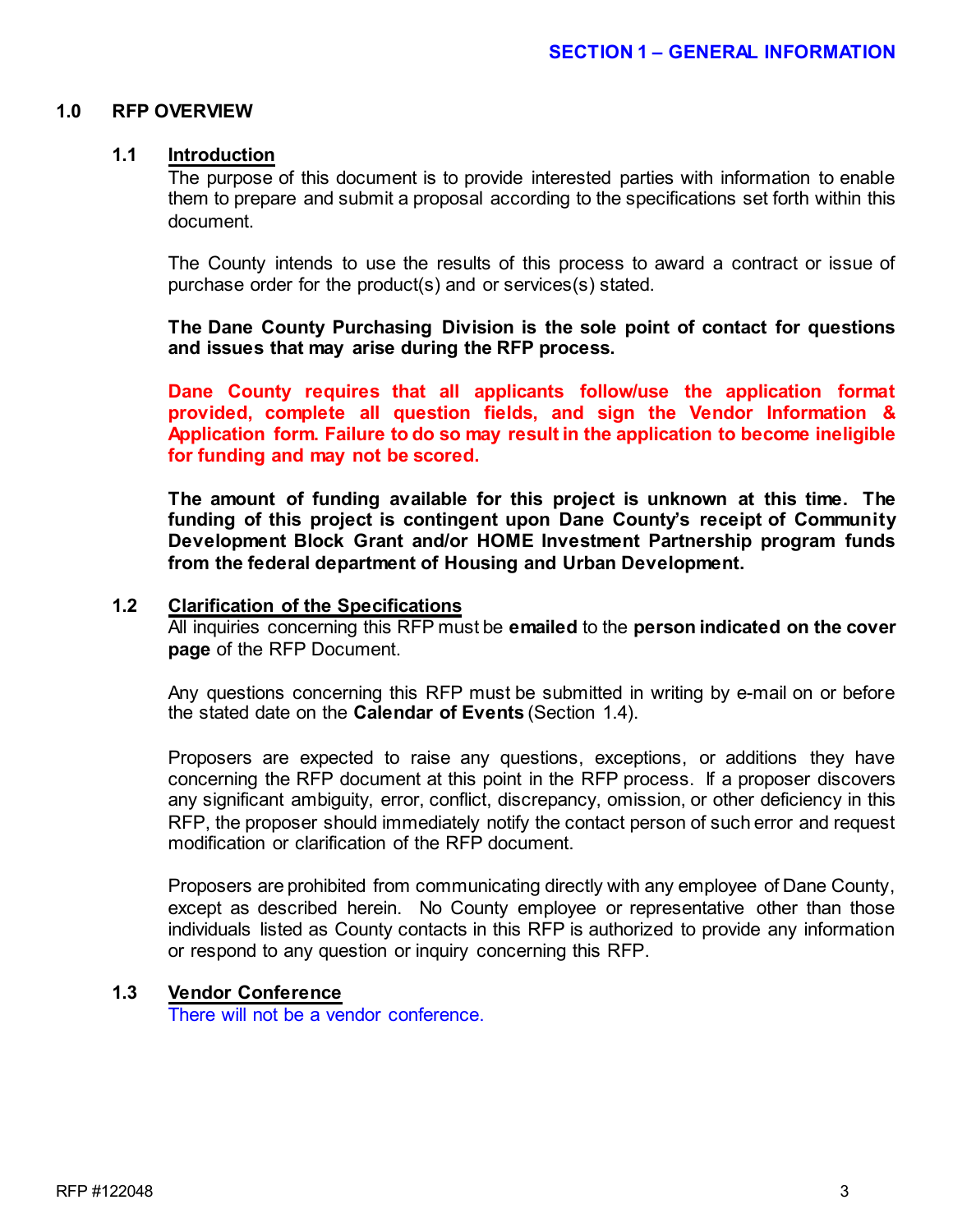#### **1.0 RFP OVERVIEW**

#### **1.1 Introduction**

The purpose of this document is to provide interested parties with information to enable them to prepare and submit a proposal according to the specifications set forth within this document.

The County intends to use the results of this process to award a contract or issue of purchase order for the product(s) and or services(s) stated.

**The Dane County Purchasing Division is the sole point of contact for questions and issues that may arise during the RFP process.**

**Dane County requires that all applicants follow/use the application format provided, complete all question fields, and sign the Vendor Information & Application form. Failure to do so may result in the application to become ineligible for funding and may not be scored.**

**The amount of funding available for this project is unknown at this time. The funding of this project is contingent upon Dane County's receipt of Community Development Block Grant and/or HOME Investment Partnership program funds from the federal department of Housing and Urban Development.**

#### **1.2 Clarification of the Specifications**

All inquiries concerning this RFP must be **emailed** to the **person indicated on the cover page** of the RFP Document.

Any questions concerning this RFP must be submitted in writing by e-mail on or before the stated date on the **Calendar of Events** (Section 1.4).

Proposers are expected to raise any questions, exceptions, or additions they have concerning the RFP document at this point in the RFP process. If a proposer discovers any significant ambiguity, error, conflict, discrepancy, omission, or other deficiency in this RFP, the proposer should immediately notify the contact person of such error and request modification or clarification of the RFP document.

Proposers are prohibited from communicating directly with any employee of Dane County, except as described herein. No County employee or representative other than those individuals listed as County contacts in this RFP is authorized to provide any information or respond to any question or inquiry concerning this RFP.

# **1.3 Vendor Conference**

There will not be a vendor conference.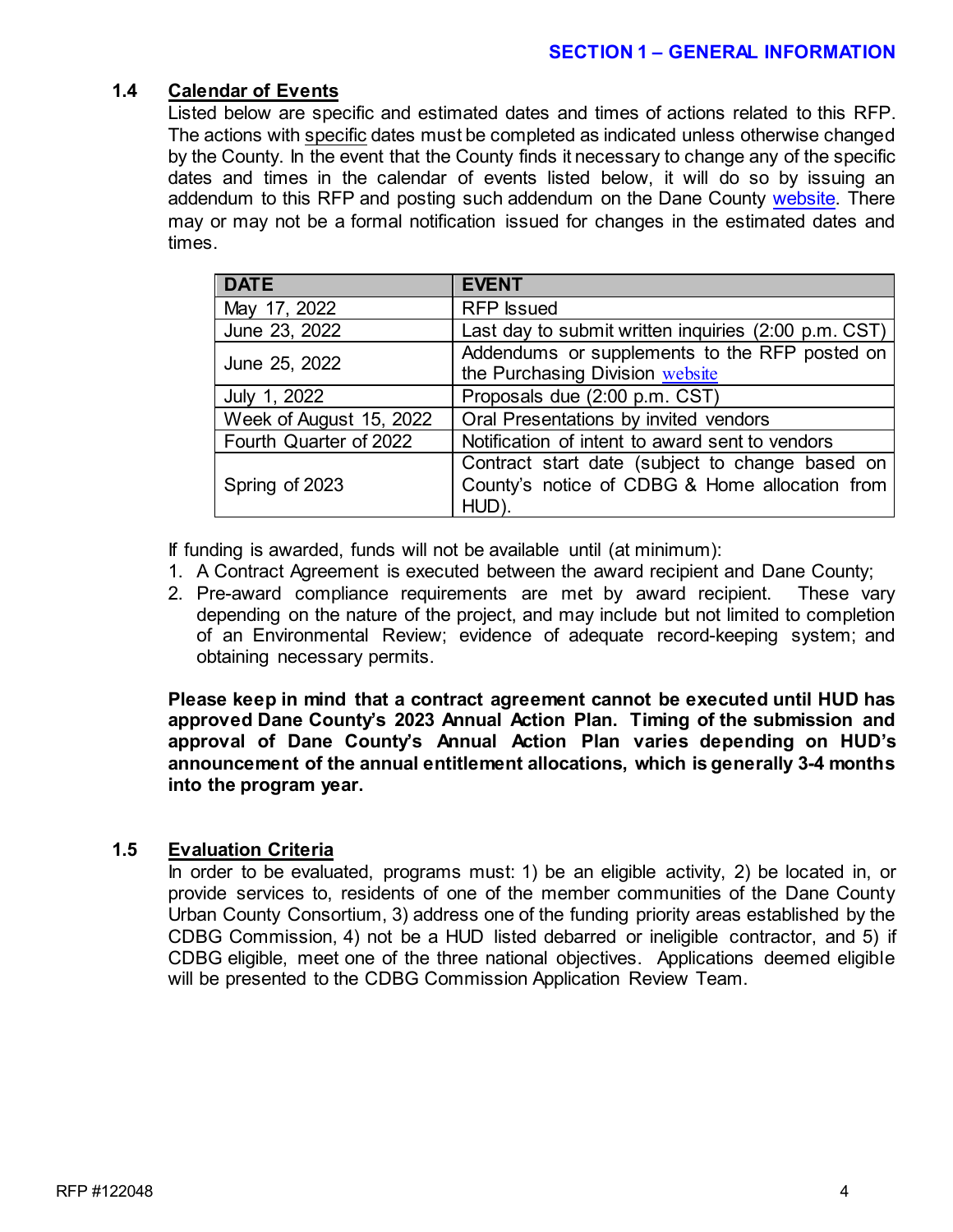## **1.4 Calendar of Events**

Listed below are specific and estimated dates and times of actions related to this RFP. The actions with specific dates must be completed as indicated unless otherwise changed by the County. In the event that the County finds it necessary to change any of the specific dates and times in the calendar of events listed below, it will do so by issuing an addendum to this RFP and posting such addendum on the Dane County [website.](http://www.danepurchasing.com/) There may or may not be a formal notification issued for changes in the estimated dates and times.

| <b>DATE</b>             | <b>EVENT</b>                                                                     |
|-------------------------|----------------------------------------------------------------------------------|
| May 17, 2022            | <b>RFP</b> Issued                                                                |
| June 23, 2022           | Last day to submit written inquiries (2:00 p.m. CST)                             |
| June 25, 2022           | Addendums or supplements to the RFP posted on<br>the Purchasing Division website |
| July 1, 2022            | Proposals due (2:00 p.m. CST)                                                    |
| Week of August 15, 2022 | Oral Presentations by invited vendors                                            |
| Fourth Quarter of 2022  | Notification of intent to award sent to vendors                                  |
| Spring of 2023          | Contract start date (subject to change based on                                  |
|                         | County's notice of CDBG & Home allocation from                                   |
|                         | HUD).                                                                            |

If funding is awarded, funds will not be available until (at minimum):

- 1. A Contract Agreement is executed between the award recipient and Dane County;
- 2. Pre-award compliance requirements are met by award recipient. These vary depending on the nature of the project, and may include but not limited to completion of an Environmental Review; evidence of adequate record-keeping system; and obtaining necessary permits.

**Please keep in mind that a contract agreement cannot be executed until HUD has approved Dane County's 2023 Annual Action Plan. Timing of the submission and approval of Dane County's Annual Action Plan varies depending on HUD's announcement of the annual entitlement allocations, which is generally 3-4 months into the program year.** 

### **1.5 Evaluation Criteria**

In order to be evaluated, programs must: 1) be an eligible activity, 2) be located in, or provide services to, residents of one of the member communities of the Dane County Urban County Consortium, 3) address one of the funding priority areas established by the CDBG Commission, 4) not be a HUD listed debarred or ineligible contractor, and 5) if CDBG eligible, meet one of the three national objectives. Applications deemed eligible will be presented to the CDBG Commission Application Review Team.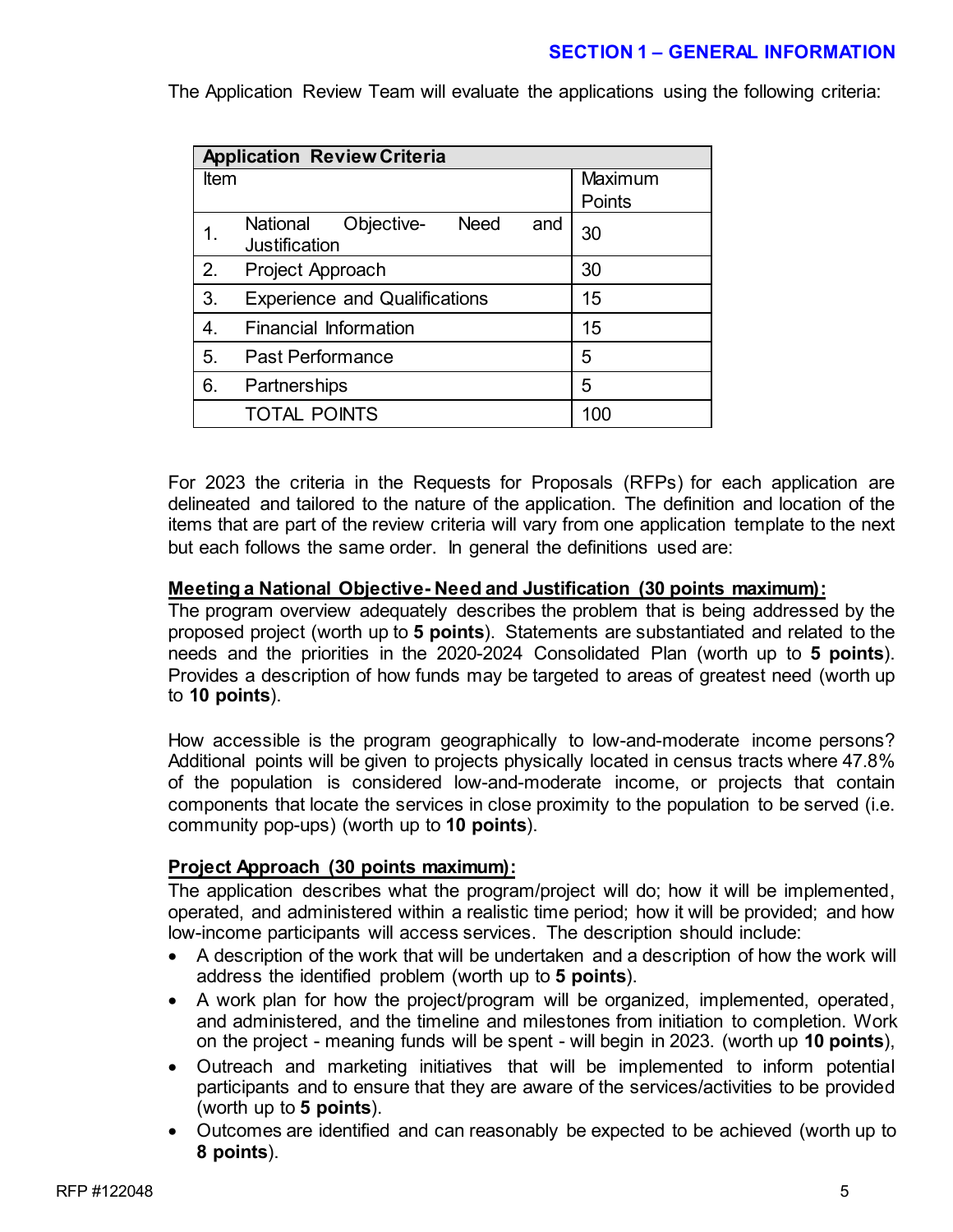# **SECTION 1 – GENERAL INFORMATION**

**Application Review Criteria** Item **International Maximum Points** 1. National Objective- Need and National Objective- Need and 30 2. Project Approach 30 3. Experience and Qualifications 15 4. Financial Information 15 5. Past Performance 15 6. Partnerships 3. 15 TOTAL POINTS 100

The Application Review Team will evaluate the applications using the following criteria:

For 2023 the criteria in the Requests for Proposals (RFPs) for each application are delineated and tailored to the nature of the application. The definition and location of the items that are part of the review criteria will vary from one application template to the next but each follows the same order. In general the definitions used are:

#### **Meeting a National Objective- Need and Justification (30 points maximum):**

The program overview adequately describes the problem that is being addressed by the proposed project (worth up to **5 points**). Statements are substantiated and related to the needs and the priorities in the 2020-2024 Consolidated Plan (worth up to **5 points**). Provides a description of how funds may be targeted to areas of greatest need (worth up to **10 points**).

How accessible is the program geographically to low-and-moderate income persons? Additional points will be given to projects physically located in census tracts where 47.8% of the population is considered low-and-moderate income, or projects that contain components that locate the services in close proximity to the population to be served (i.e. community pop-ups) (worth up to **10 points**).

### **Project Approach (30 points maximum):**

The application describes what the program/project will do; how it will be implemented, operated, and administered within a realistic time period; how it will be provided; and how low-income participants will access services. The description should include:

- A description of the work that will be undertaken and a description of how the work will address the identified problem (worth up to **5 points**).
- A work plan for how the project/program will be organized, implemented, operated, and administered, and the timeline and milestones from initiation to completion. Work on the project - meaning funds will be spent - will begin in 2023. (worth up **10 points**),
- Outreach and marketing initiatives that will be implemented to inform potential participants and to ensure that they are aware of the services/activities to be provided (worth up to **5 points**).
- Outcomes are identified and can reasonably be expected to be achieved (worth up to **8 points**).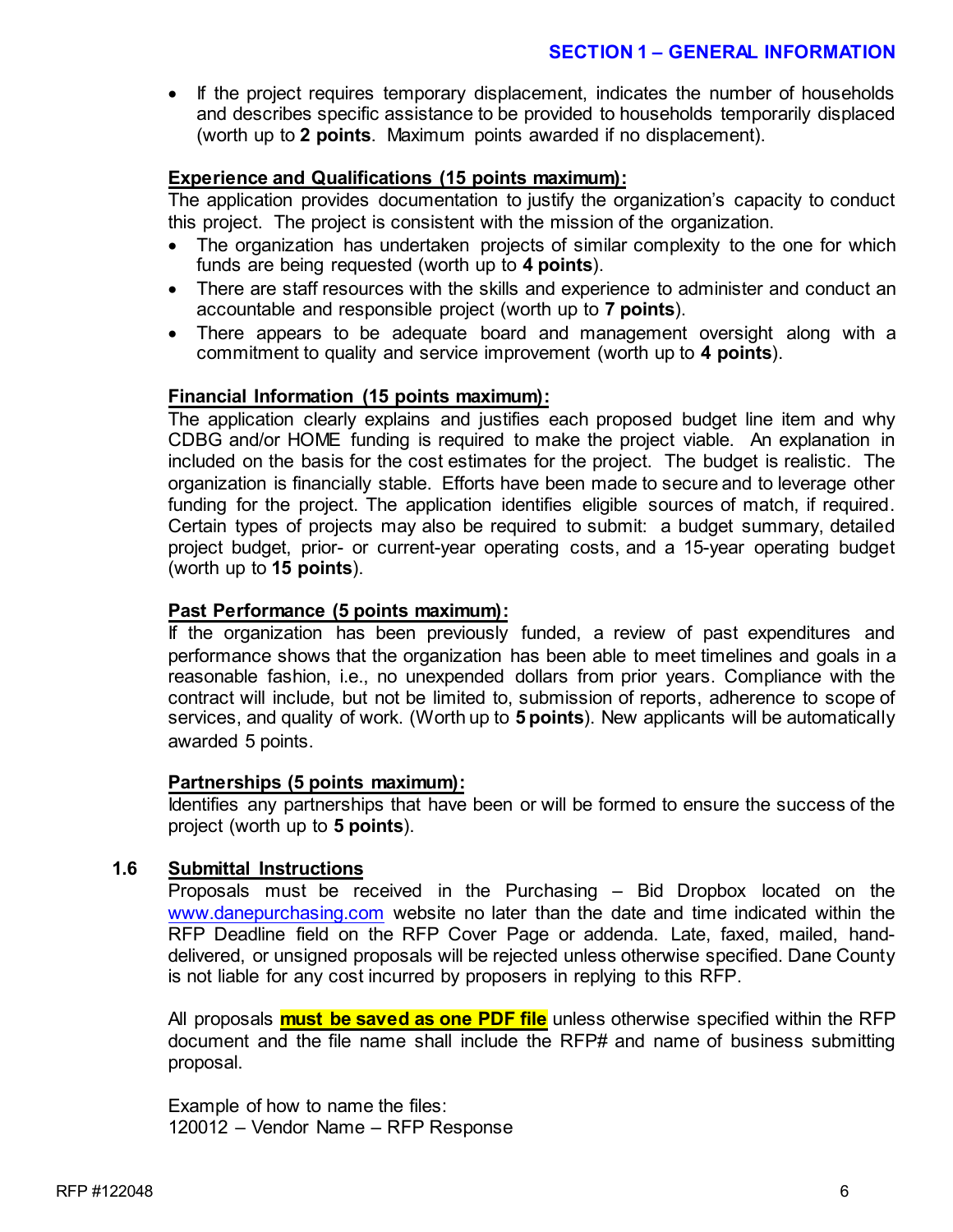## **SECTION 1 – GENERAL INFORMATION**

• If the project requires temporary displacement, indicates the number of households and describes specific assistance to be provided to households temporarily displaced (worth up to **2 points**. Maximum points awarded if no displacement).

# **Experience and Qualifications (15 points maximum):**

The application provides documentation to justify the organization's capacity to conduct this project. The project is consistent with the mission of the organization.

- The organization has undertaken projects of similar complexity to the one for which funds are being requested (worth up to **4 points**).
- There are staff resources with the skills and experience to administer and conduct an accountable and responsible project (worth up to **7 points**).
- There appears to be adequate board and management oversight along with a commitment to quality and service improvement (worth up to **4 points**).

### **Financial Information (15 points maximum):**

The application clearly explains and justifies each proposed budget line item and why CDBG and/or HOME funding is required to make the project viable. An explanation in included on the basis for the cost estimates for the project. The budget is realistic. The organization is financially stable. Efforts have been made to secure and to leverage other funding for the project. The application identifies eligible sources of match, if required. Certain types of projects may also be required to submit: a budget summary, detailed project budget, prior- or current-year operating costs, and a 15-year operating budget (worth up to **15 points**).

# **Past Performance (5 points maximum):**

If the organization has been previously funded, a review of past expenditures and performance shows that the organization has been able to meet timelines and goals in a reasonable fashion, i.e., no unexpended dollars from prior years. Compliance with the contract will include, but not be limited to, submission of reports, adherence to scope of services, and quality of work. (Worth up to **5 points**). New applicants will be automatically awarded 5 points.

### **Partnerships (5 points maximum):**

Identifies any partnerships that have been or will be formed to ensure the success of the project (worth up to **5 points**).

### **1.6 Submittal Instructions**

Proposals must be received in the Purchasing – Bid Dropbox located on the [www.danepurchasing.com](http://www.danepurchasing.com/) website no later than the date and time indicated within the RFP Deadline field on the RFP Cover Page or addenda. Late, faxed, mailed, handdelivered, or unsigned proposals will be rejected unless otherwise specified. Dane County is not liable for any cost incurred by proposers in replying to this RFP.

All proposals **must be saved as one PDF file** unless otherwise specified within the RFP document and the file name shall include the RFP# and name of business submitting proposal.

Example of how to name the files: 120012 – Vendor Name – RFP Response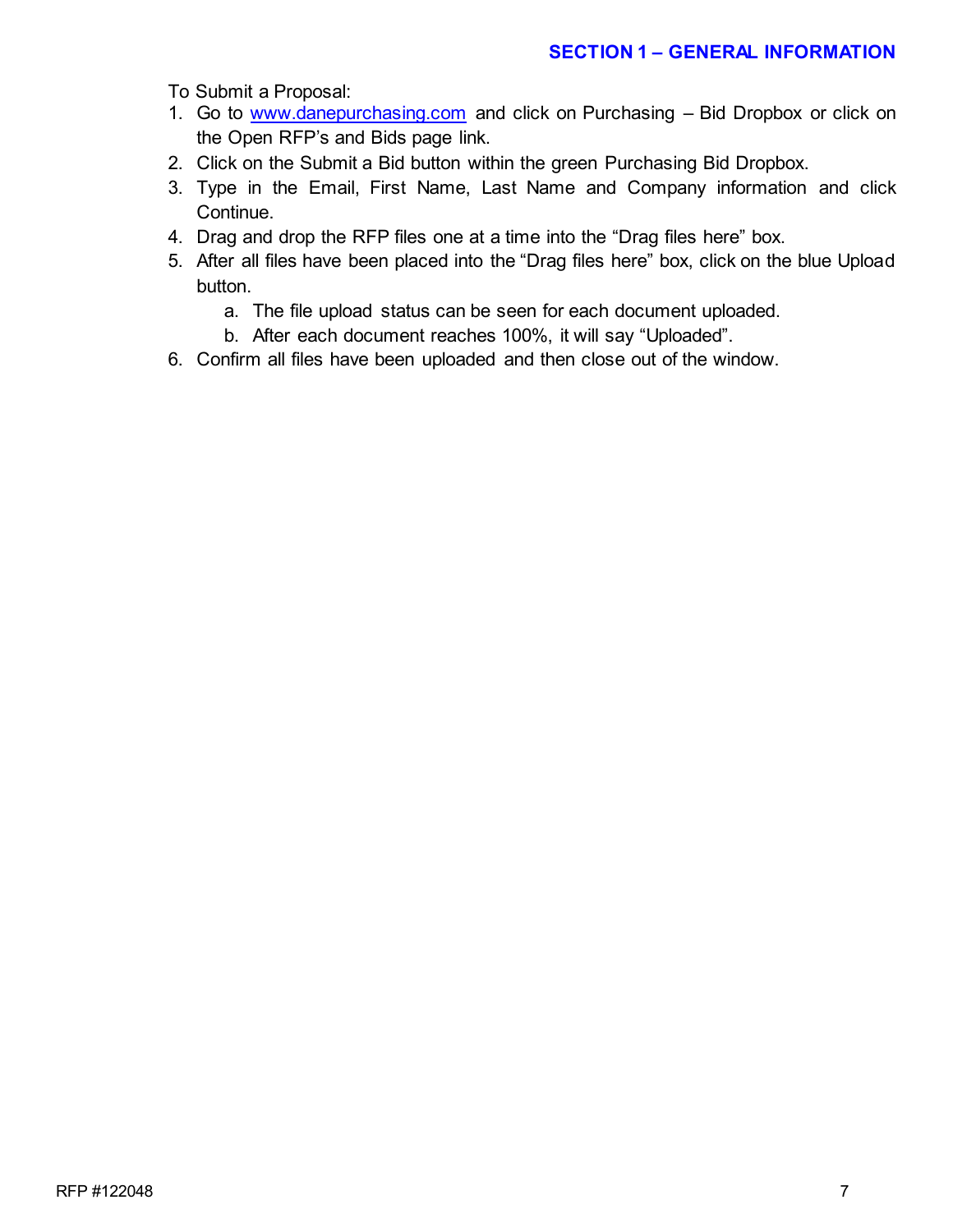To Submit a Proposal:

- 1. Go to [www.danepurchasing.com](http://www.danepurchasing.com/) and click on Purchasing Bid Dropbox or click on the Open RFP's and Bids page link.
- 2. Click on the Submit a Bid button within the green Purchasing Bid Dropbox.
- 3. Type in the Email, First Name, Last Name and Company information and click Continue.
- 4. Drag and drop the RFP files one at a time into the "Drag files here" box.
- 5. After all files have been placed into the "Drag files here" box, click on the blue Upload button.
	- a. The file upload status can be seen for each document uploaded.
	- b. After each document reaches 100%, it will say "Uploaded".
- 6. Confirm all files have been uploaded and then close out of the window.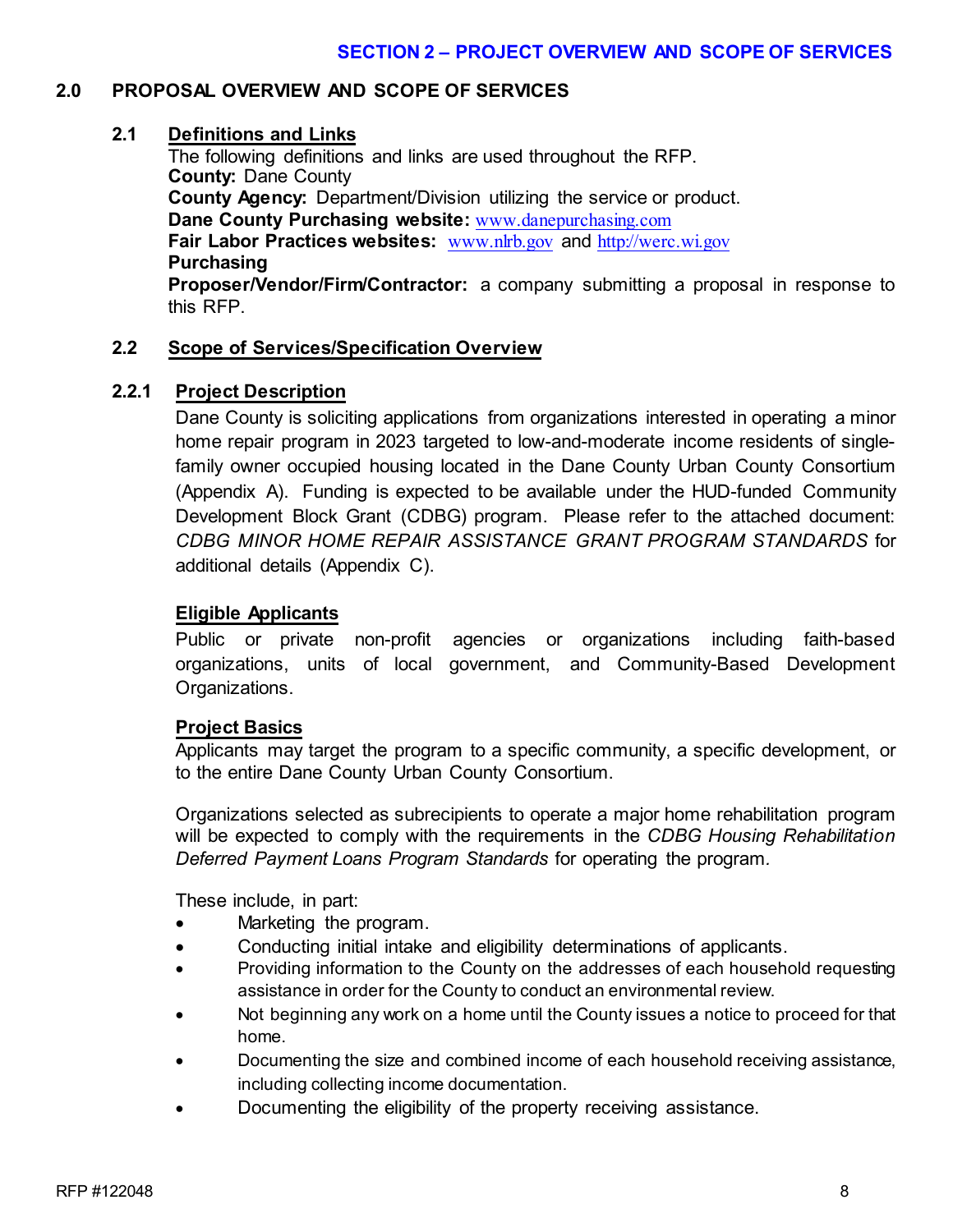#### **2.0 PROPOSAL OVERVIEW AND SCOPE OF SERVICES**

#### **2.1 Definitions and Links**

The following definitions and links are used throughout the RFP. **County:** Dane County **County Agency:** Department/Division utilizing the service or product. **Dane County Purchasing website:** [www.danepurchasing.com](http://www.danepurchasing.com/) **Fair Labor Practices websites:** [www.nlrb.gov](http://www.nlrb.gov/) and [http://werc.wi.gov](http://werc.wi.gov/) **Purchasing Proposer/Vendor/Firm/Contractor:** a company submitting a proposal in response to

this RFP.

#### **2.2 Scope of Services/Specification Overview**

#### **2.2.1 Project Description**

Dane County is soliciting applications from organizations interested in operating a minor home repair program in 2023 targeted to low-and-moderate income residents of singlefamily owner occupied housing located in the Dane County Urban County Consortium (Appendix A). Funding is expected to be available under the HUD-funded Community Development Block Grant (CDBG) program. Please refer to the attached document: *CDBG MINOR HOME REPAIR ASSISTANCE GRANT PROGRAM STANDARDS* for additional details (Appendix C).

#### **Eligible Applicants**

Public or private non-profit agencies or organizations including faith-based organizations, units of local government, and Community-Based Development Organizations.

#### **Project Basics**

Applicants may target the program to a specific community, a specific development, or to the entire Dane County Urban County Consortium.

Organizations selected as subrecipients to operate a major home rehabilitation program will be expected to comply with the requirements in the *CDBG Housing Rehabilitation Deferred Payment Loans Program Standards* for operating the program*.*

These include, in part:

- Marketing the program.
- Conducting initial intake and eligibility determinations of applicants.
- Providing information to the County on the addresses of each household requesting assistance in order for the County to conduct an environmental review.
- Not beginning any work on a home until the County issues a notice to proceed for that home.
- Documenting the size and combined income of each household receiving assistance, including collecting income documentation.
- Documenting the eligibility of the property receiving assistance.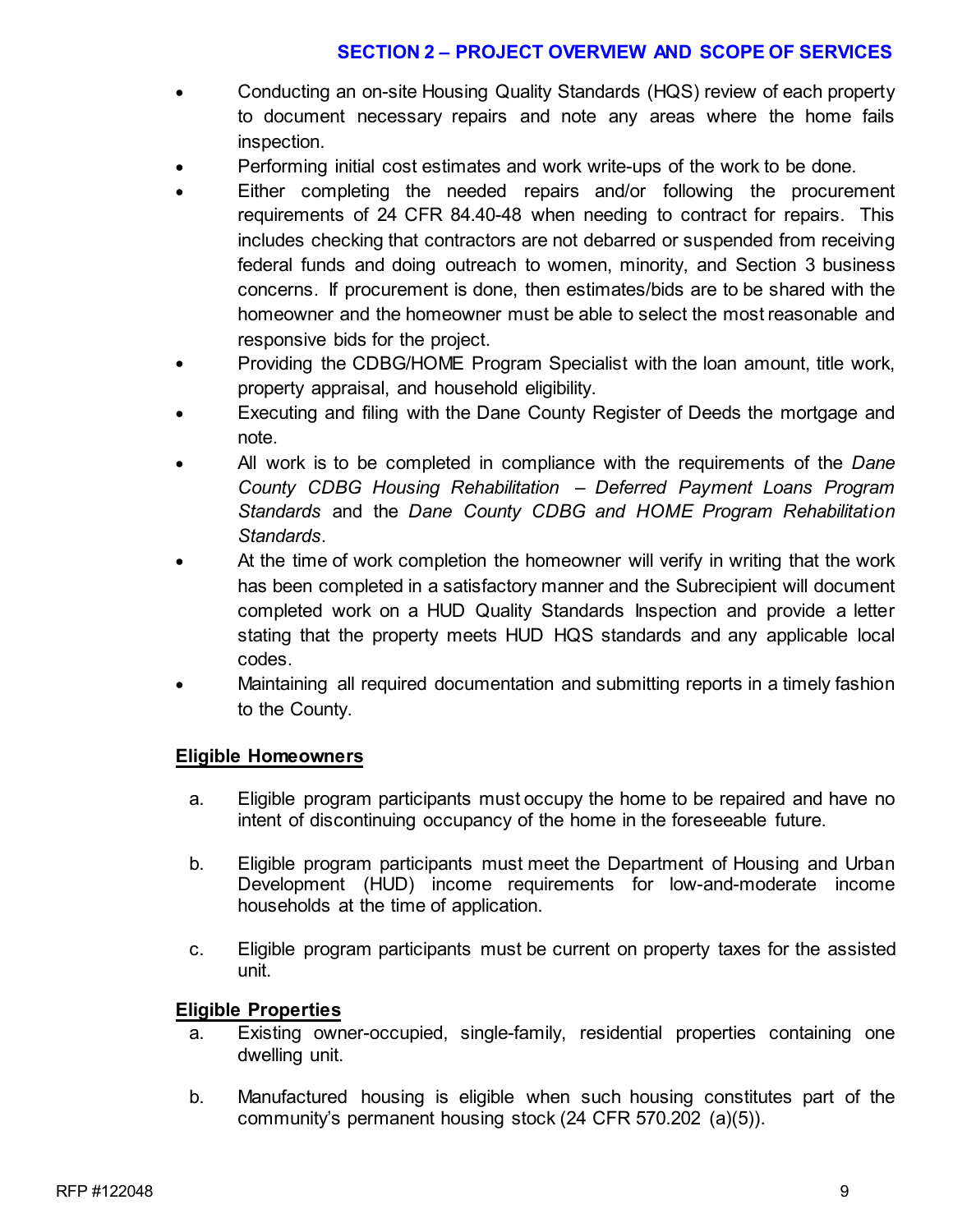# **SECTION 2 – PROJECT OVERVIEW AND SCOPE OF SERVICES**

- Conducting an on-site Housing Quality Standards (HQS) review of each property to document necessary repairs and note any areas where the home fails inspection.
- Performing initial cost estimates and work write-ups of the work to be done.
- Either completing the needed repairs and/or following the procurement requirements of 24 CFR 84.40-48 when needing to contract for repairs. This includes checking that contractors are not debarred or suspended from receiving federal funds and doing outreach to women, minority, and Section 3 business concerns. If procurement is done, then estimates/bids are to be shared with the homeowner and the homeowner must be able to select the most reasonable and responsive bids for the project.
- Providing the CDBG/HOME Program Specialist with the loan amount, title work, property appraisal, and household eligibility.
- Executing and filing with the Dane County Register of Deeds the mortgage and note.
- All work is to be completed in compliance with the requirements of the *Dane County CDBG Housing Rehabilitation – Deferred Payment Loans Program Standards* and the *Dane County CDBG and HOME Program Rehabilitation Standards*.
- At the time of work completion the homeowner will verify in writing that the work has been completed in a satisfactory manner and the Subrecipient will document completed work on a HUD Quality Standards Inspection and provide a letter stating that the property meets HUD HQS standards and any applicable local codes.
- Maintaining all required documentation and submitting reports in a timely fashion to the County.

### **Eligible Homeowners**

- a. Eligible program participants must occupy the home to be repaired and have no intent of discontinuing occupancy of the home in the foreseeable future.
- b. Eligible program participants must meet the Department of Housing and Urban Development (HUD) income requirements for low-and-moderate income households at the time of application.
- c. Eligible program participants must be current on property taxes for the assisted unit.

### **Eligible Properties**

- a. Existing owner-occupied, single-family, residential properties containing one dwelling unit.
- b. Manufactured housing is eligible when such housing constitutes part of the community's permanent housing stock (24 CFR 570.202 (a)(5)).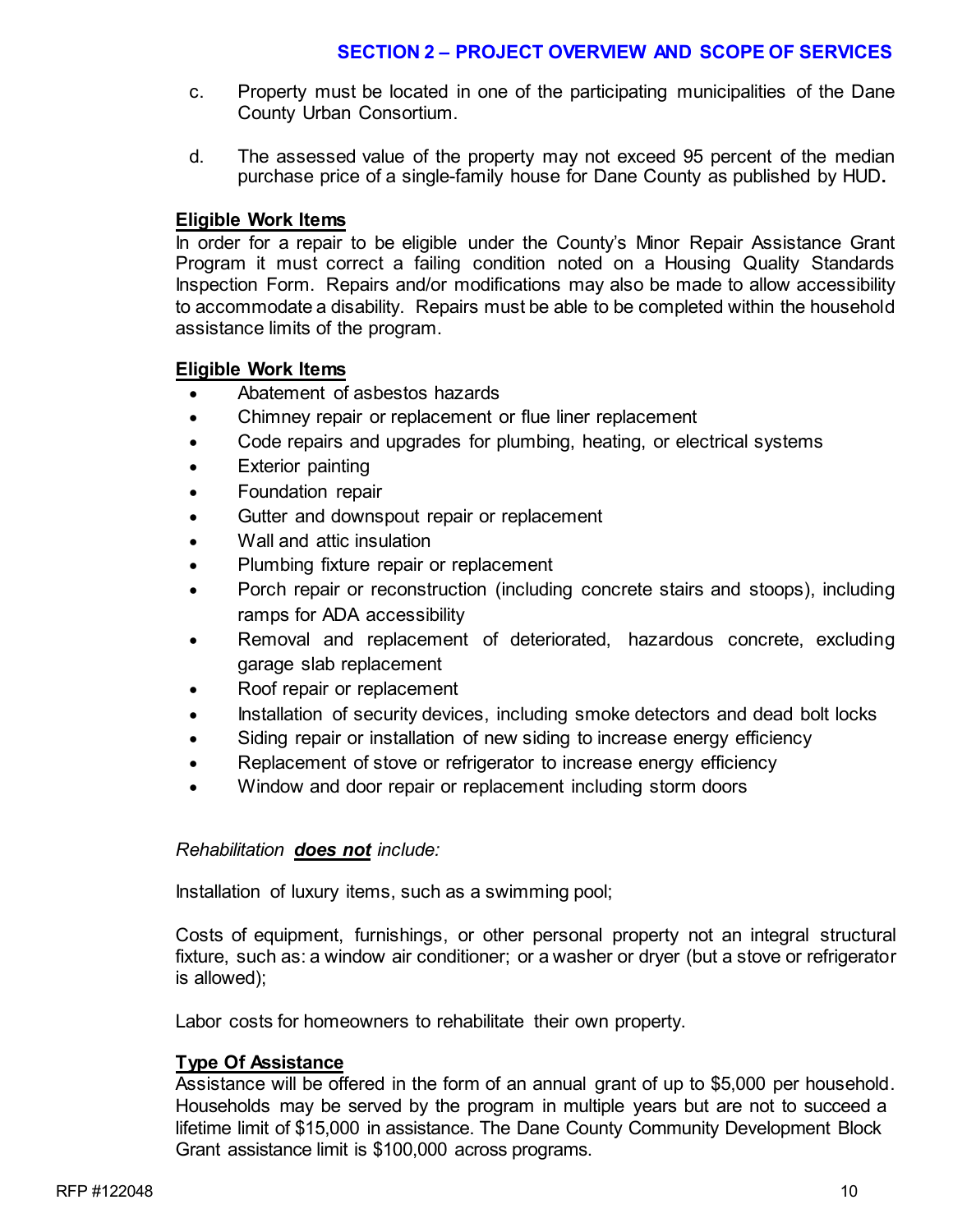## **SECTION 2 – PROJECT OVERVIEW AND SCOPE OF SERVICES**

- c. Property must be located in one of the participating municipalities of the Dane County Urban Consortium.
- d. The assessed value of the property may not exceed 95 percent of the median purchase price of a single-family house for Dane County as published by HUD**.**

# **Eligible Work Items**

In order for a repair to be eligible under the County's Minor Repair Assistance Grant Program it must correct a failing condition noted on a Housing Quality Standards Inspection Form. Repairs and/or modifications may also be made to allow accessibility to accommodate a disability. Repairs must be able to be completed within the household assistance limits of the program.

### **Eligible Work Items**

- Abatement of asbestos hazards
- Chimney repair or replacement or flue liner replacement
- Code repairs and upgrades for plumbing, heating, or electrical systems
- Exterior painting
- Foundation repair
- Gutter and downspout repair or replacement
- Wall and attic insulation
- Plumbing fixture repair or replacement
- Porch repair or reconstruction (including concrete stairs and stoops), including ramps for ADA accessibility
- Removal and replacement of deteriorated, hazardous concrete, excluding garage slab replacement
- Roof repair or replacement
- Installation of security devices, including smoke detectors and dead bolt locks
- Siding repair or installation of new siding to increase energy efficiency
- Replacement of stove or refrigerator to increase energy efficiency
- Window and door repair or replacement including storm doors

### *Rehabilitation does not include:*

Installation of luxury items, such as a swimming pool;

Costs of equipment, furnishings, or other personal property not an integral structural fixture, such as: a window air conditioner; or a washer or dryer (but a stove or refrigerator is allowed);

Labor costs for homeowners to rehabilitate their own property.

### **Type Of Assistance**

Assistance will be offered in the form of an annual grant of up to \$5,000 per household. Households may be served by the program in multiple years but are not to succeed a lifetime limit of \$15,000 in assistance. The Dane County Community Development Block Grant assistance limit is \$100,000 across programs.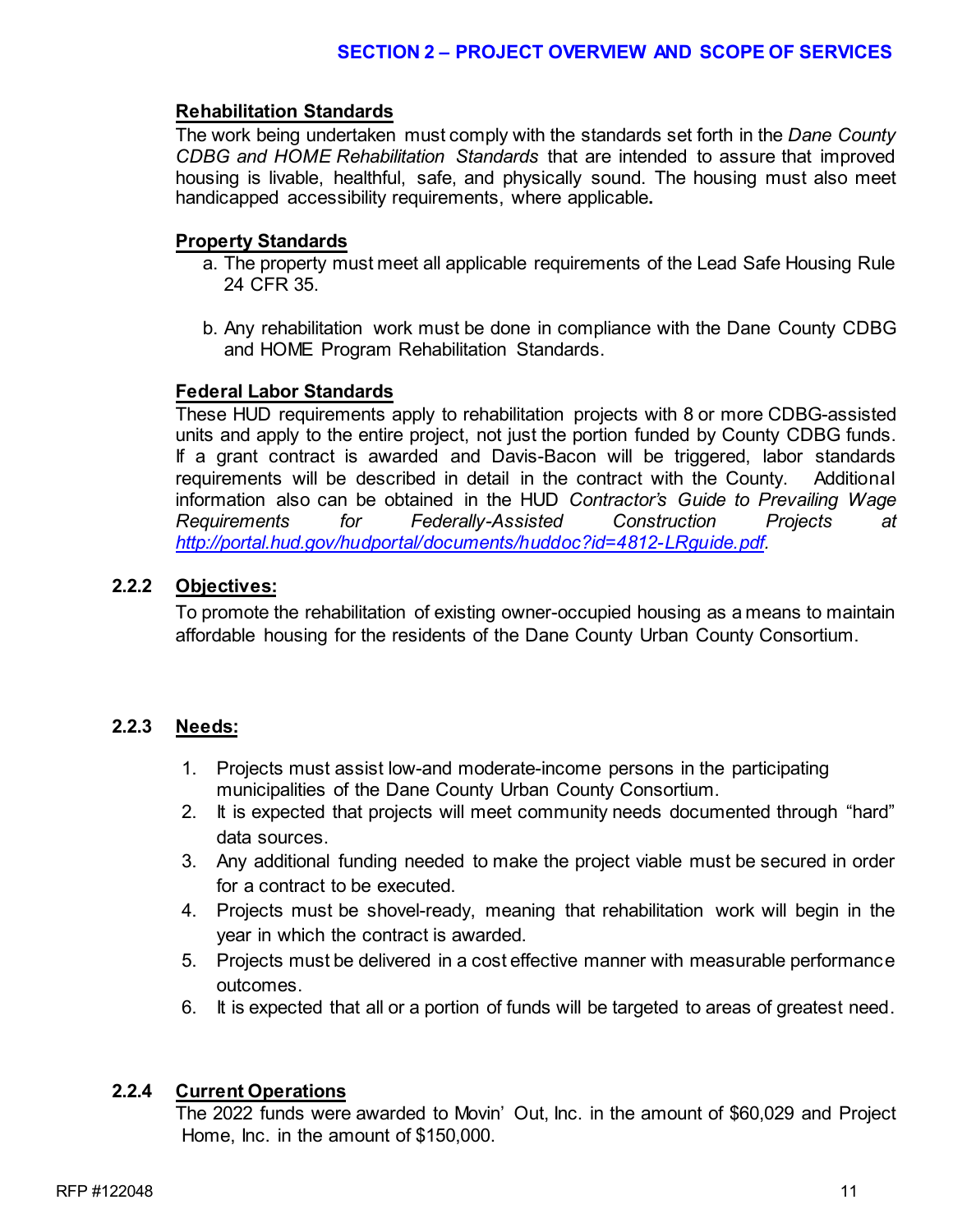#### **Rehabilitation Standards**

The work being undertaken must comply with the standards set forth in the *Dane County CDBG and HOME Rehabilitation Standards* that are intended to assure that improved housing is livable, healthful, safe, and physically sound. The housing must also meet handicapped accessibility requirements, where applicable**.** 

#### **Property Standards**

- a. The property must meet all applicable requirements of the Lead Safe Housing Rule 24 CFR 35.
- b. Any rehabilitation work must be done in compliance with the Dane County CDBG and HOME Program Rehabilitation Standards.

#### **Federal Labor Standards**

These HUD requirements apply to rehabilitation projects with 8 or more CDBG-assisted units and apply to the entire project, not just the portion funded by County CDBG funds. If a grant contract is awarded and Davis-Bacon will be triggered, labor standards requirements will be described in detail in the contract with the County. Additional information also can be obtained in the HUD *Contractor's Guide to Prevailing Wage Requirements for Federally-Assisted Construction Projects at [http://portal.hud.gov/hudportal/documents/huddoc?id=4812-LRguide.pdf.](http://portal.hud.gov/hudportal/documents/huddoc?id=4812-LRguide.pdf)* 

#### **2.2.2 Objectives:**

To promote the rehabilitation of existing owner-occupied housing as a means to maintain affordable housing for the residents of the Dane County Urban County Consortium.

### **2.2.3 Needs:**

- 1. Projects must assist low-and moderate-income persons in the participating municipalities of the Dane County Urban County Consortium.
- 2. It is expected that projects will meet community needs documented through "hard" data sources.
- 3. Any additional funding needed to make the project viable must be secured in order for a contract to be executed.
- 4. Projects must be shovel-ready, meaning that rehabilitation work will begin in the year in which the contract is awarded.
- 5. Projects must be delivered in a cost effective manner with measurable performance outcomes.
- 6. It is expected that all or a portion of funds will be targeted to areas of greatest need.

### **2.2.4 Current Operations**

The 2022 funds were awarded to Movin' Out, Inc. in the amount of \$60,029 and Project Home, Inc. in the amount of \$150,000.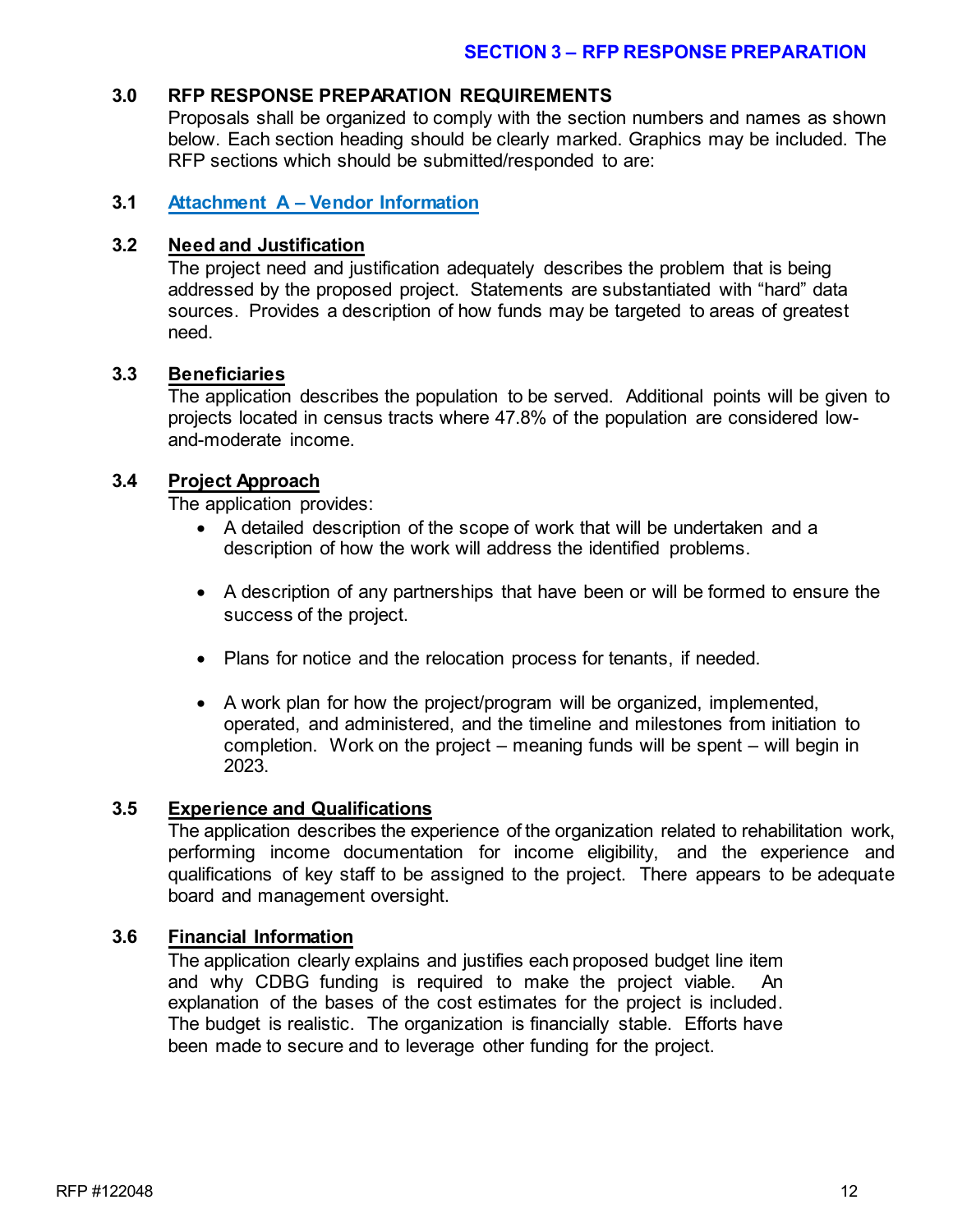#### **3.0 RFP RESPONSE PREPARATION REQUIREMENTS**

Proposals shall be organized to comply with the section numbers and names as shown below. Each section heading should be clearly marked. Graphics may be included. The RFP sections which should be submitted/responded to are:

#### **3.1 Attachment A – Vendor Information**

#### **3.2 Need and Justification**

The project need and justification adequately describes the problem that is being addressed by the proposed project. Statements are substantiated with "hard" data sources. Provides a description of how funds may be targeted to areas of greatest need.

#### **3.3 Beneficiaries**

The application describes the population to be served. Additional points will be given to projects located in census tracts where 47.8% of the population are considered lowand-moderate income.

#### **3.4 Project Approach**

The application provides:

- A detailed description of the scope of work that will be undertaken and a description of how the work will address the identified problems.
- A description of any partnerships that have been or will be formed to ensure the success of the project.
- Plans for notice and the relocation process for tenants, if needed.
- A work plan for how the project/program will be organized, implemented, operated, and administered, and the timeline and milestones from initiation to completion. Work on the project – meaning funds will be spent – will begin in 2023.

#### **3.5 Experience and Qualifications**

The application describes the experience of the organization related to rehabilitation work, performing income documentation for income eligibility, and the experience and qualifications of key staff to be assigned to the project. There appears to be adequate board and management oversight.

#### **3.6 Financial Information**

The application clearly explains and justifies each proposed budget line item and why CDBG funding is required to make the project viable. An explanation of the bases of the cost estimates for the project is included. The budget is realistic. The organization is financially stable. Efforts have been made to secure and to leverage other funding for the project.